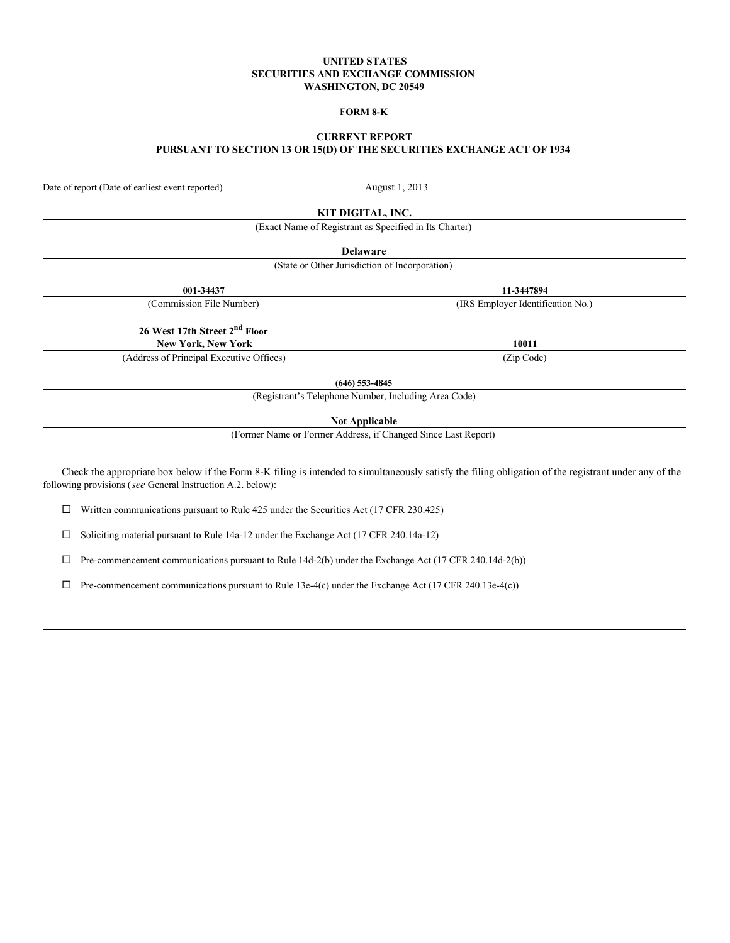#### **UNITED STATES SECURITIES AND EXCHANGE COMMISSION WASHINGTON, DC 20549**

## **FORM 8-K**

# **CURRENT REPORT PURSUANT TO SECTION 13 OR 15(D) OF THE SECURITIES EXCHANGE ACT OF 1934**

Date of report (Date of earliest event reported) August 1, 2013

**KIT DIGITAL, INC.**

(Exact Name of Registrant as Specified in Its Charter)

**Delaware**

(State or Other Jurisdiction of Incorporation)

**001-34437 11-3447894**

(Commission File Number) (IRS Employer Identification No.)

**26 West 17th Street 2nd Floor New York, New York 10011**

(Address of Principal Executive Offices) (Zip Code)

**(646) 553-4845**

(Registrant's Telephone Number, Including Area Code)

**Not Applicable**

(Former Name or Former Address, if Changed Since Last Report)

Check the appropriate box below if the Form 8-K filing is intended to simultaneously satisfy the filing obligation of the registrant under any of the following provisions (*see* General Instruction A.2. below):

 $\Box$  Written communications pursuant to Rule 425 under the Securities Act (17 CFR 230.425)

 $\square$  Soliciting material pursuant to Rule 14a-12 under the Exchange Act (17 CFR 240.14a-12)

 $\Box$  Pre-commencement communications pursuant to Rule 14d-2(b) under the Exchange Act (17 CFR 240.14d-2(b))

 $\Box$  Pre-commencement communications pursuant to Rule 13e-4(c) under the Exchange Act (17 CFR 240.13e-4(c))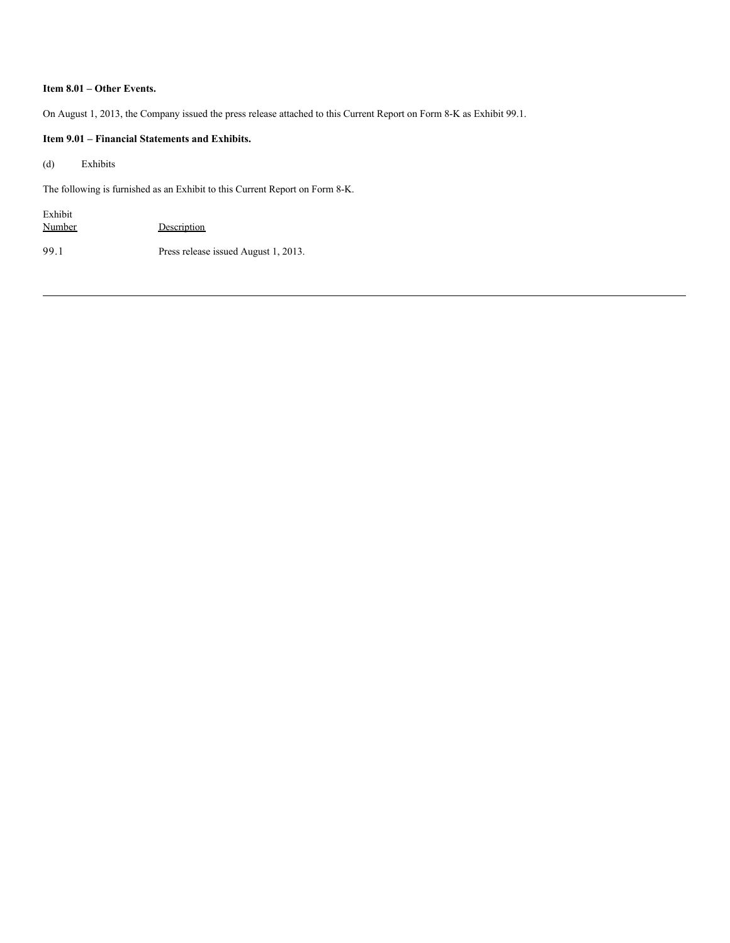# **Item 8.01 – Other Events.**

On August 1, 2013, the Company issued the press release attached to this Current Report on Form 8-K as Exhibit 99.1.

## **Item 9.01 – Financial Statements and Exhibits.**

(d) Exhibits

The following is furnished as an Exhibit to this Current Report on Form 8-K.

| Exhibit       |                                      |
|---------------|--------------------------------------|
| <b>Number</b> | Description                          |
| 99.1          | Press release issued August 1, 2013. |
|               |                                      |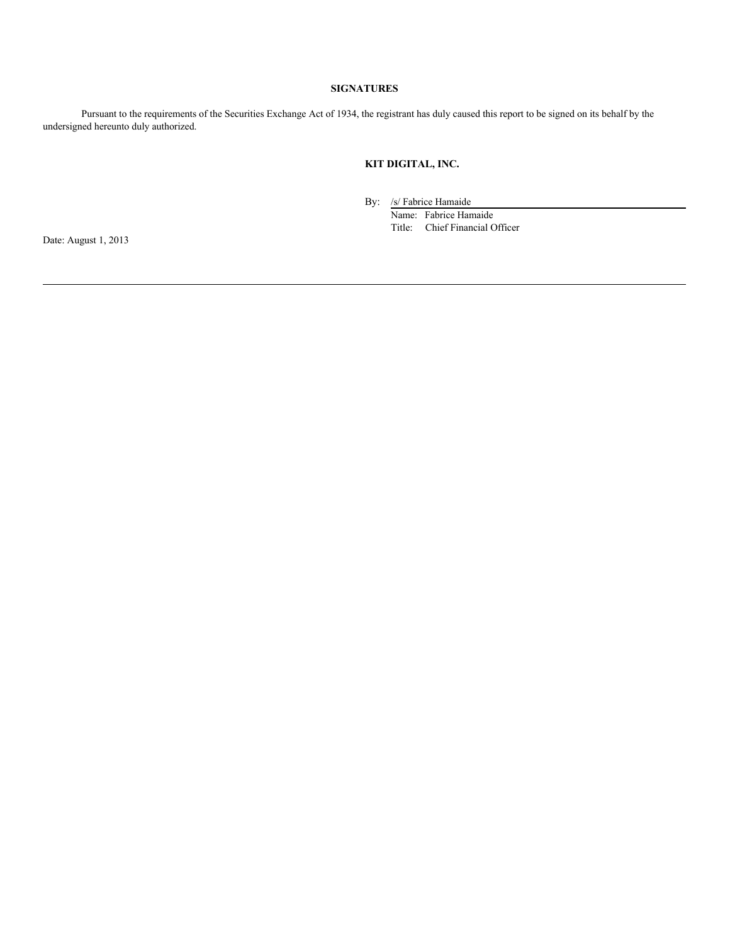## **SIGNATURES**

Pursuant to the requirements of the Securities Exchange Act of 1934, the registrant has duly caused this report to be signed on its behalf by the undersigned hereunto duly authorized.

# **KIT DIGITAL, INC.**

By: /s/ Fabrice Hamaide

Name: Fabrice Hamaide Title: Chief Financial Officer

Date: August 1, 2013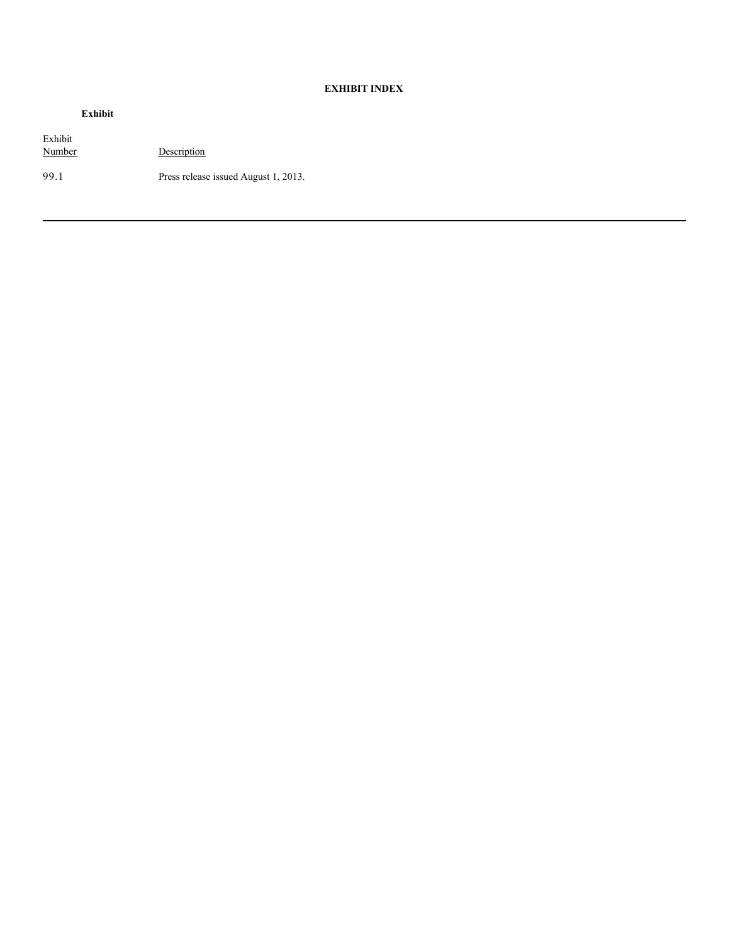# **EXHIBIT INDEX**

| nını |  |
|------|--|
|      |  |

Exhibit Description 99.1 Press release issued August 1, 2013.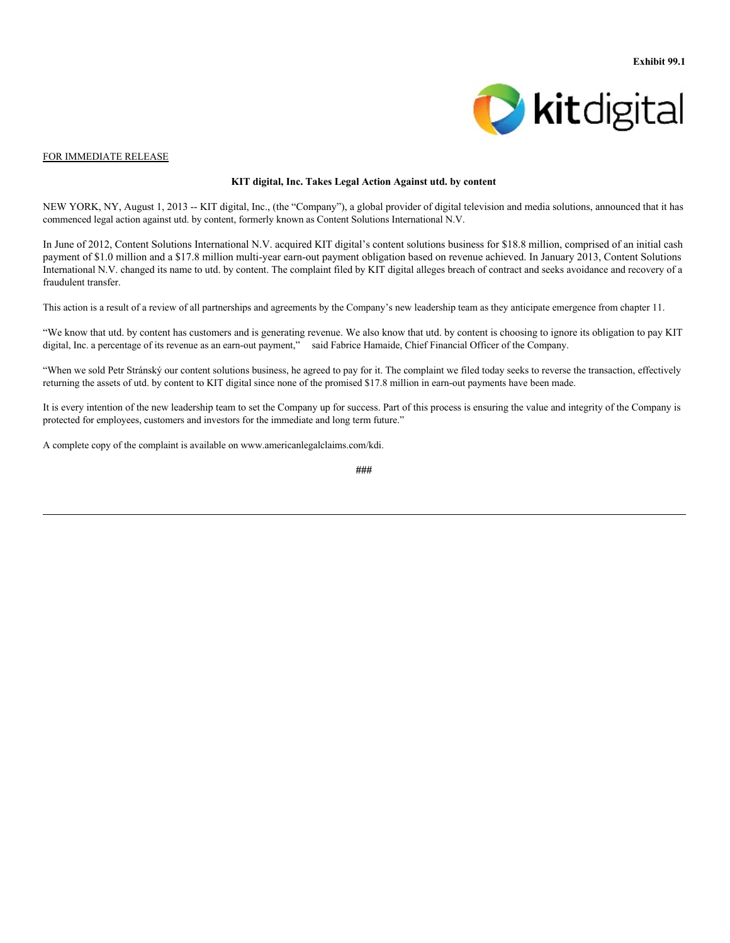

#### FOR IMMEDIATE RELEASE

#### **KIT digital, Inc. Takes Legal Action Against utd. by content**

NEW YORK, NY, August 1, 2013 -- KIT digital, Inc., (the "Company"), a global provider of digital television and media solutions, announced that it has commenced legal action against utd. by content, formerly known as Content Solutions International N.V.

In June of 2012, Content Solutions International N.V. acquired KIT digital's content solutions business for \$18.8 million, comprised of an initial cash payment of \$1.0 million and a \$17.8 million multi-year earn-out payment obligation based on revenue achieved. In January 2013, Content Solutions International N.V. changed its name to utd. by content. The complaint filed by KIT digital alleges breach of contract and seeks avoidance and recovery of a fraudulent transfer.

This action is a result of a review of all partnerships and agreements by the Company's new leadership team as they anticipate emergence from chapter 11.

"We know that utd. by content has customers and is generating revenue. We also know that utd. by content is choosing to ignore its obligation to pay KIT digital, Inc. a percentage of its revenue as an earn-out payment," said Fabrice Hamaide, Chief Financial Officer of the Company.

"When we sold Petr Stránský our content solutions business, he agreed to pay for it. The complaint we filed today seeks to reverse the transaction, effectively returning the assets of utd. by content to KIT digital since none of the promised \$17.8 million in earn-out payments have been made.

It is every intention of the new leadership team to set the Company up for success. Part of this process is ensuring the value and integrity of the Company is protected for employees, customers and investors for the immediate and long term future."

A complete copy of the complaint is available on www.americanlegalclaims.com/kdi.

**<sup>###</sup>**